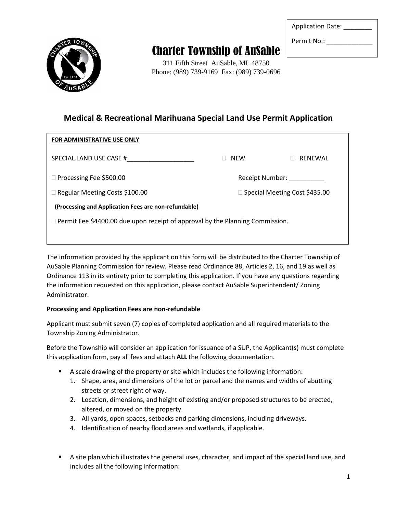

## Charter Township of AuSable

311 Fifth Street AuSable, MI 48750 Phone: (989) 739-9169 Fax: (989) 739-0696 Application Date:

Permit No.:

## **Medical & Recreational Marihuana Special Land Use Permit Application**

| <b>FOR ADMINISTRATIVE USE ONLY</b>                                                   |            |                                 |  |
|--------------------------------------------------------------------------------------|------------|---------------------------------|--|
| SPECIAL LAND USE CASE #                                                              | <b>NEW</b> | RENEWAL                         |  |
| $\Box$ Processing Fee \$500.00                                                       |            | Receipt Number: Necelpha        |  |
| $\Box$ Regular Meeting Costs \$100.00                                                |            | □ Special Meeting Cost \$435.00 |  |
| (Processing and Application Fees are non-refundable)                                 |            |                                 |  |
| $\Box$ Permit Fee \$4400.00 due upon receipt of approval by the Planning Commission. |            |                                 |  |
|                                                                                      |            |                                 |  |

The information provided by the applicant on this form will be distributed to the Charter Township of AuSable Planning Commission for review. Please read Ordinance 88, Articles 2, 16, and 19 as well as Ordinance 113 in its entirety prior to completing this application. If you have any questions regarding the information requested on this application, please contact AuSable Superintendent/ Zoning Administrator.

#### **Processing and Application Fees are non-refundable**

Applicant must submit seven (7) copies of completed application and all required materials to the Township Zoning Administrator.

Before the Township will consider an application for issuance of a SUP, the Applicant(s) must complete this application form, pay all fees and attach **ALL** the following documentation.

- A scale drawing of the property or site which includes the following information:
	- 1. Shape, area, and dimensions of the lot or parcel and the names and widths of abutting streets or street right of way.
	- 2. Location, dimensions, and height of existing and/or proposed structures to be erected, altered, or moved on the property.
	- 3. All yards, open spaces, setbacks and parking dimensions, including driveways.
	- 4. Identification of nearby flood areas and wetlands, if applicable.
- A site plan which illustrates the general uses, character, and impact of the special land use, and includes all the following information: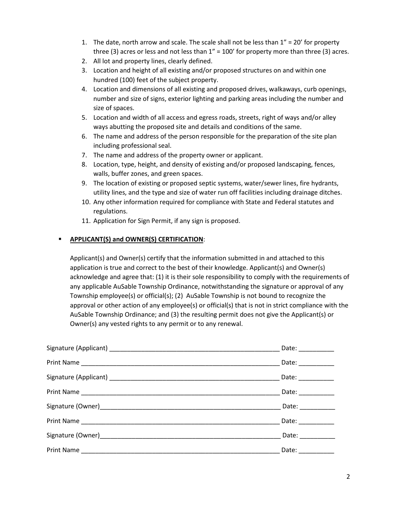- 1. The date, north arrow and scale. The scale shall not be less than  $1'' = 20'$  for property three (3) acres or less and not less than  $1'' = 100'$  for property more than three (3) acres.
- 2. All lot and property lines, clearly defined.
- 3. Location and height of all existing and/or proposed structures on and within one hundred (100) feet of the subject property.
- 4. Location and dimensions of all existing and proposed drives, walkaways, curb openings, number and size of signs, exterior lighting and parking areas including the number and size of spaces.
- 5. Location and width of all access and egress roads, streets, right of ways and/or alley ways abutting the proposed site and details and conditions of the same.
- 6. The name and address of the person responsible for the preparation of the site plan including professional seal.
- 7. The name and address of the property owner or applicant.
- 8. Location, type, height, and density of existing and/or proposed landscaping, fences, walls, buffer zones, and green spaces.
- 9. The location of existing or proposed septic systems, water/sewer lines, fire hydrants, utility lines, and the type and size of water run off facilities including drainage ditches.
- 10. Any other information required for compliance with State and Federal statutes and regulations.
- 11. Application for Sign Permit, if any sign is proposed.

#### ▪ **APPLICANT(S) and OWNER(S) CERTIFICATION**:

Applicant(s) and Owner(s) certify that the information submitted in and attached to this application is true and correct to the best of their knowledge. Applicant(s) and Owner(s) acknowledge and agree that: (1) it is their sole responsibility to comply with the requirements of any applicable AuSable Township Ordinance, notwithstanding the signature or approval of any Township employee(s) or official(s); (2) AuSable Township is not bound to recognize the approval or other action of any employee(s) or official(s) that is not in strict compliance with the AuSable Township Ordinance; and (3) the resulting permit does not give the Applicant(s) or Owner(s) any vested rights to any permit or to any renewal.

| Date: $\frac{1}{2}$        |
|----------------------------|
| Date: $\frac{1}{2}$        |
| Date: ___________          |
| Date: __________           |
| Date: ___________          |
| Date: <u>_____________</u> |
| Date: __________           |
| Date: __________           |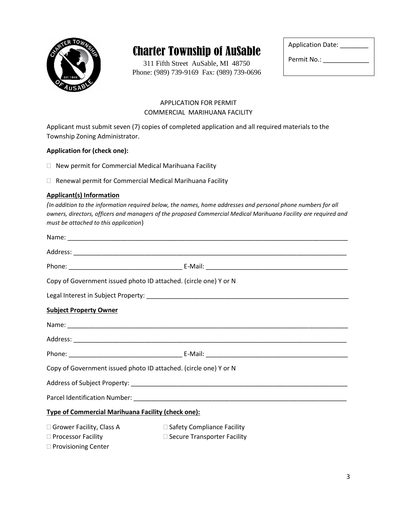

# Charter Township of AuSable

311 Fifth Street AuSable, MI 48750 Phone: (989) 739-9169 Fax: (989) 739-0696

| <b>Application Date:</b> |
|--------------------------|
| Permit No.:              |

#### APPLICATION FOR PERMIT COMMERCIAL MARIHUANA FACILITY

Applicant must submit seven (7) copies of completed application and all required materials to the Township Zoning Administrator.

#### **Application for (check one):**

- New permit for Commercial Medical Marihuana Facility
- □ Renewal permit for Commercial Medical Marihuana Facility

#### **Applicant(s) Information**

*(In addition to the information required below, the names, home addresses and personal phone numbers for all owners, directors, officers and managers of the proposed Commercial Medical Marihuana Facility are required and must be attached to this application*)

| Copy of Government issued photo ID attached. (circle one) Y or N |                                   |  |
|------------------------------------------------------------------|-----------------------------------|--|
|                                                                  |                                   |  |
| <b>Subject Property Owner</b>                                    |                                   |  |
|                                                                  |                                   |  |
|                                                                  |                                   |  |
|                                                                  |                                   |  |
| Copy of Government issued photo ID attached. (circle one) Y or N |                                   |  |
|                                                                  |                                   |  |
|                                                                  |                                   |  |
| <b>Type of Commercial Marihuana Facility (check one):</b>        |                                   |  |
| □ Grower Facility, Class A                                       | $\Box$ Safety Compliance Facility |  |
| □ Processor Facility                                             | □ Secure Transporter Facility     |  |
| □ Provisioning Center                                            |                                   |  |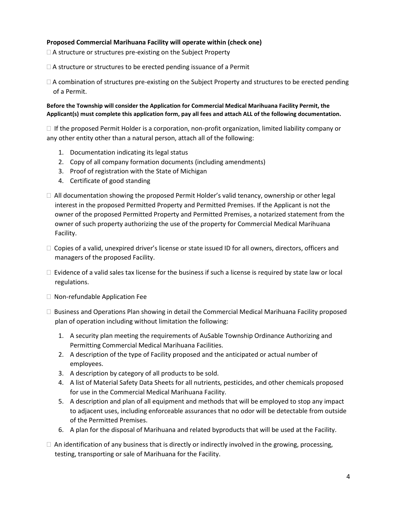#### **Proposed Commercial Marihuana Facility will operate within (check one)**

 $\Box$  A structure or structures pre-existing on the Subject Property

 $\Box$  A structure or structures to be erected pending issuance of a Permit

 $\Box$  A combination of structures pre-existing on the Subject Property and structures to be erected pending of a Permit.

**Before the Township will consider the Application for Commercial Medical Marihuana Facility Permit, the Applicant(s) must complete this application form, pay all fees and attach ALL of the following documentation.** 

 $\Box$  If the proposed Permit Holder is a corporation, non-profit organization, limited liability company or any other entity other than a natural person, attach all of the following:

- 1. Documentation indicating its legal status
- 2. Copy of all company formation documents (including amendments)
- 3. Proof of registration with the State of Michigan
- 4. Certificate of good standing
- $\Box$  All documentation showing the proposed Permit Holder's valid tenancy, ownership or other legal interest in the proposed Permitted Property and Permitted Premises. If the Applicant is not the owner of the proposed Permitted Property and Permitted Premises, a notarized statement from the owner of such property authorizing the use of the property for Commercial Medical Marihuana Facility.
- $\Box$  Copies of a valid, unexpired driver's license or state issued ID for all owners, directors, officers and managers of the proposed Facility.
- $\Box$  Evidence of a valid sales tax license for the business if such a license is required by state law or local regulations.
- □ Non-refundable Application Fee
- Business and Operations Plan showing in detail the Commercial Medical Marihuana Facility proposed plan of operation including without limitation the following:
	- 1. A security plan meeting the requirements of AuSable Township Ordinance Authorizing and Permitting Commercial Medical Marihuana Facilities.
	- 2. A description of the type of Facility proposed and the anticipated or actual number of employees.
	- 3. A description by category of all products to be sold.
	- 4. A list of Material Safety Data Sheets for all nutrients, pesticides, and other chemicals proposed for use in the Commercial Medical Marihuana Facility.
	- 5. A description and plan of all equipment and methods that will be employed to stop any impact to adjacent uses, including enforceable assurances that no odor will be detectable from outside of the Permitted Premises.
	- 6. A plan for the disposal of Marihuana and related byproducts that will be used at the Facility.
- $\Box$  An identification of any business that is directly or indirectly involved in the growing, processing, testing, transporting or sale of Marihuana for the Facility.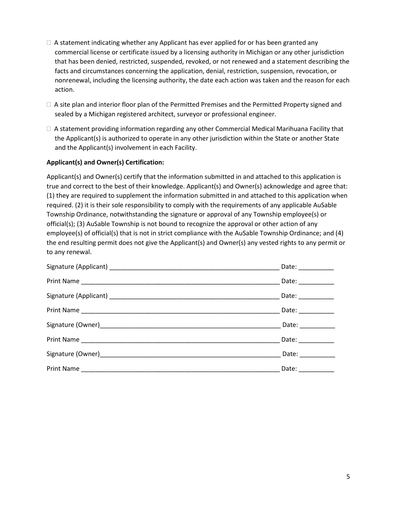- $\Box$  A statement indicating whether any Applicant has ever applied for or has been granted any commercial license or certificate issued by a licensing authority in Michigan or any other jurisdiction that has been denied, restricted, suspended, revoked, or not renewed and a statement describing the facts and circumstances concerning the application, denial, restriction, suspension, revocation, or nonrenewal, including the licensing authority, the date each action was taken and the reason for each action.
- $\Box$  A site plan and interior floor plan of the Permitted Premises and the Permitted Property signed and sealed by a Michigan registered architect, surveyor or professional engineer.
- $\Box$  A statement providing information regarding any other Commercial Medical Marihuana Facility that the Applicant(s) is authorized to operate in any other jurisdiction within the State or another State and the Applicant(s) involvement in each Facility.

#### **Applicant(s) and Owner(s) Certification:**

Applicant(s) and Owner(s) certify that the information submitted in and attached to this application is true and correct to the best of their knowledge. Applicant(s) and Owner(s) acknowledge and agree that: (1) they are required to supplement the information submitted in and attached to this application when required. (2) it is their sole responsibility to comply with the requirements of any applicable AuSable Township Ordinance, notwithstanding the signature or approval of any Township employee(s) or official(s); (3) AuSable Township is not bound to recognize the approval or other action of any employee(s) of official(s) that is not in strict compliance with the AuSable Township Ordinance; and (4) the end resulting permit does not give the Applicant(s) and Owner(s) any vested rights to any permit or to any renewal.

|            | Date: $\frac{1}{2}$        |
|------------|----------------------------|
|            | Date: $\qquad \qquad$      |
|            | Date: ___________          |
|            | Date: $\qquad \qquad$      |
|            | Date: <u>_____________</u> |
|            | Date: $\qquad \qquad$      |
|            | Date: $\frac{1}{2}$        |
| Print Name | Date: _________            |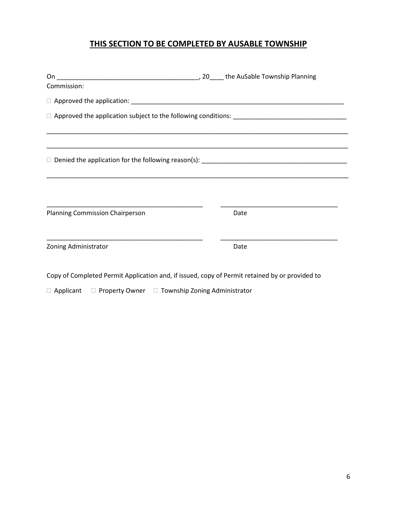### **THIS SECTION TO BE COMPLETED BY AUSABLE TOWNSHIP**

| Commission:                                                                                    |  |      |  |  |
|------------------------------------------------------------------------------------------------|--|------|--|--|
|                                                                                                |  |      |  |  |
|                                                                                                |  |      |  |  |
|                                                                                                |  |      |  |  |
|                                                                                                |  |      |  |  |
|                                                                                                |  |      |  |  |
| Planning Commission Chairperson                                                                |  | Date |  |  |
| Zoning Administrator                                                                           |  | Date |  |  |
| Copy of Completed Permit Application and, if issued, copy of Permit retained by or provided to |  |      |  |  |

 $\Box$  Applicant  $\Box$  Property Owner  $\Box$  Township Zoning Administrator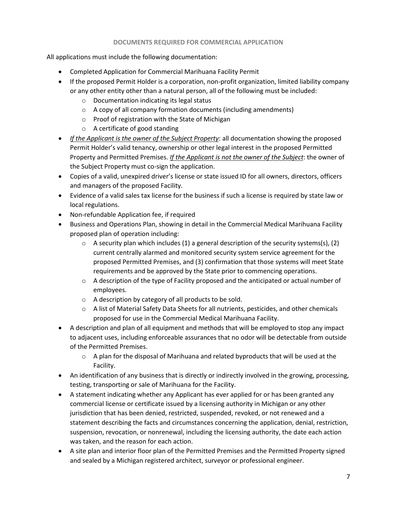#### **DOCUMENTS REQUIRED FOR COMMERCIAL APPLICATION**

All applications must include the following documentation:

- Completed Application for Commercial Marihuana Facility Permit
- If the proposed Permit Holder is a corporation, non-profit organization, limited liability company or any other entity other than a natural person, all of the following must be included:
	- o Documentation indicating its legal status
	- o A copy of all company formation documents (including amendments)
	- o Proof of registration with the State of Michigan
	- o A certificate of good standing
- *If the Applicant is the owner of the Subject Property*: all documentation showing the proposed Permit Holder's valid tenancy, ownership or other legal interest in the proposed Permitted Property and Permitted Premises. *If the Applicant is not the owner of the Subject*: the owner of the Subject Property must co-sign the application.
- Copies of a valid, unexpired driver's license or state issued ID for all owners, directors, officers and managers of the proposed Facility.
- Evidence of a valid sales tax license for the business if such a license is required by state law or local regulations.
- Non-refundable Application fee, if required
- Business and Operations Plan, showing in detail in the Commercial Medical Marihuana Facility proposed plan of operation including:
	- $\circ$  A security plan which includes (1) a general description of the security systems(s), (2) current centrally alarmed and monitored security system service agreement for the proposed Permitted Premises, and (3) confirmation that those systems will meet State requirements and be approved by the State prior to commencing operations.
	- $\circ$  A description of the type of Facility proposed and the anticipated or actual number of employees.
	- o A description by category of all products to be sold.
	- $\circ$  A list of Material Safety Data Sheets for all nutrients, pesticides, and other chemicals proposed for use in the Commercial Medical Marihuana Facility.
- A description and plan of all equipment and methods that will be employed to stop any impact to adjacent uses, including enforceable assurances that no odor will be detectable from outside of the Permitted Premises.
	- $\circ$  A plan for the disposal of Marihuana and related byproducts that will be used at the Facility.
- An identification of any business that is directly or indirectly involved in the growing, processing, testing, transporting or sale of Marihuana for the Facility.
- A statement indicating whether any Applicant has ever applied for or has been granted any commercial license or certificate issued by a licensing authority in Michigan or any other jurisdiction that has been denied, restricted, suspended, revoked, or not renewed and a statement describing the facts and circumstances concerning the application, denial, restriction, suspension, revocation, or nonrenewal, including the licensing authority, the date each action was taken, and the reason for each action.
- A site plan and interior floor plan of the Permitted Premises and the Permitted Property signed and sealed by a Michigan registered architect, surveyor or professional engineer.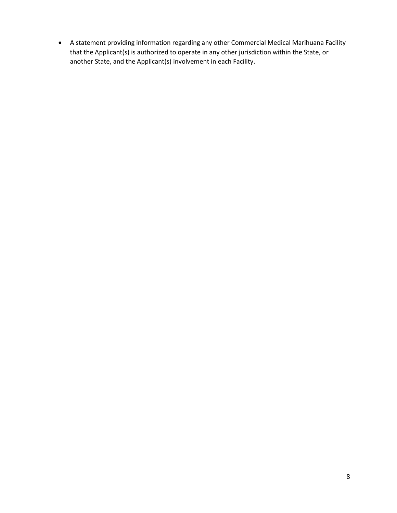• A statement providing information regarding any other Commercial Medical Marihuana Facility that the Applicant(s) is authorized to operate in any other jurisdiction within the State, or another State, and the Applicant(s) involvement in each Facility.